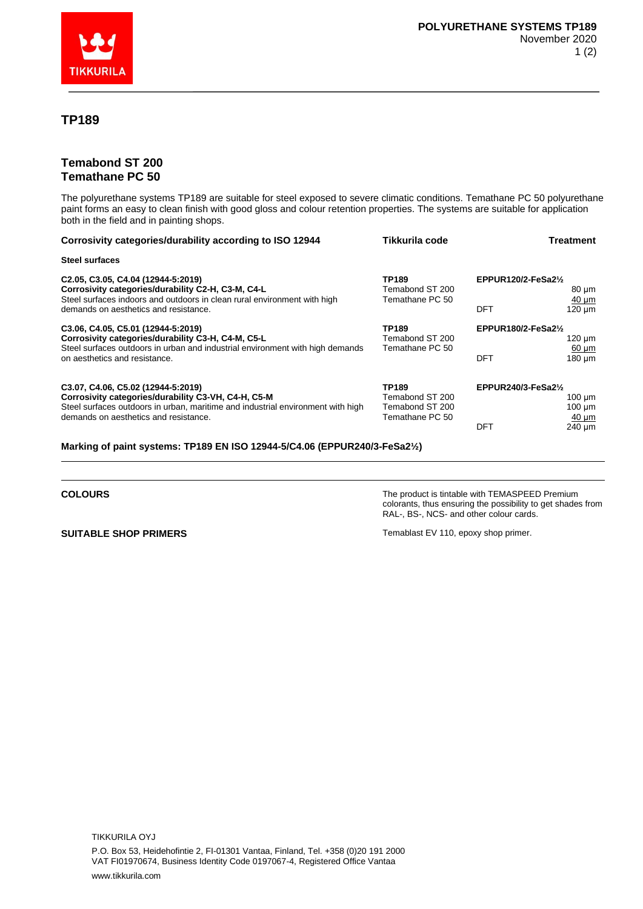

## **TP189**

## **Temabond ST 200 Temathane PC 50**

The polyurethane systems TP189 are suitable for steel exposed to severe climatic conditions. Temathane PC 50 polyurethane paint forms an easy to clean finish with good gloss and colour retention properties. The systems are suitable for application both in the field and in painting shops.

| Corrosivity categories/durability according to ISO 12944                                                                                                                  | Tikkurila code                              | Treatment                                                   |
|---------------------------------------------------------------------------------------------------------------------------------------------------------------------------|---------------------------------------------|-------------------------------------------------------------|
| <b>Steel surfaces</b>                                                                                                                                                     |                                             |                                                             |
| C2.05, C3.05, C4.04 (12944-5:2019)<br>Corrosivity categories/durability C2-H, C3-M, C4-L<br>Steel surfaces indoors and outdoors in clean rural environment with high      | TP189<br>Temabond ST 200<br>Temathane PC 50 | EPPUR120/2-FeSa2 $\frac{1}{2}$<br>80 µm<br>$40 \mu m$       |
| demands on aesthetics and resistance.                                                                                                                                     |                                             | $120 \mu m$<br>DFT                                          |
| C3.06, C4.05, C5.01 (12944-5:2019)<br>Corrosivity categories/durability C3-H, C4-M, C5-L<br>Steel surfaces outdoors in urban and industrial environment with high demands | TP189<br>Temabond ST 200<br>Temathane PC 50 | EPPUR180/2-FeSa2 $\frac{1}{2}$<br>$120 \mu m$<br>$60 \mu m$ |
| on aesthetics and resistance.                                                                                                                                             |                                             | $180 \mu m$<br>DFT                                          |
| C3.07, C4.06, C5.02 (12944-5:2019)                                                                                                                                        | TP189                                       | EPPUR240/3-FeSa2 $\frac{1}{2}$                              |
| Corrosivity categories/durability C3-VH, C4-H, C5-M<br>Steel surfaces outdoors in urban, maritime and industrial environment with high                                    | Temabond ST 200<br>Temabond ST 200          | $100 \mu m$<br>$100 \mu m$                                  |
| demands on aesthetics and resistance.                                                                                                                                     | Temathane PC 50                             | $40 \mu m$<br><b>DFT</b><br>240 um                          |
|                                                                                                                                                                           |                                             |                                                             |

**Marking of paint systems: TP189 EN ISO 12944-5/C4.06 (EPPUR240/3-FeSa2½)**

**COLOURS COLOURS THE PRODUCT IS A SEXUAL TO A SEXUAL THE PRODUCT IS THE PRODUCT IS THE PRODUCT IS A SEXUAL TO A SEXUAL THE PRODUCT IS AND THE PRODUCT IS AND THE PRODUCT IS A SEXUAL TO A SEXUAL THE PRODUCT IS A SEXUAL T** colorants, thus ensuring the possibility to get shades from RAL-, BS-, NCS- and other colour cards.

**SUITABLE SHOP PRIMERS** Temablast EV 110, epoxy shop primer.